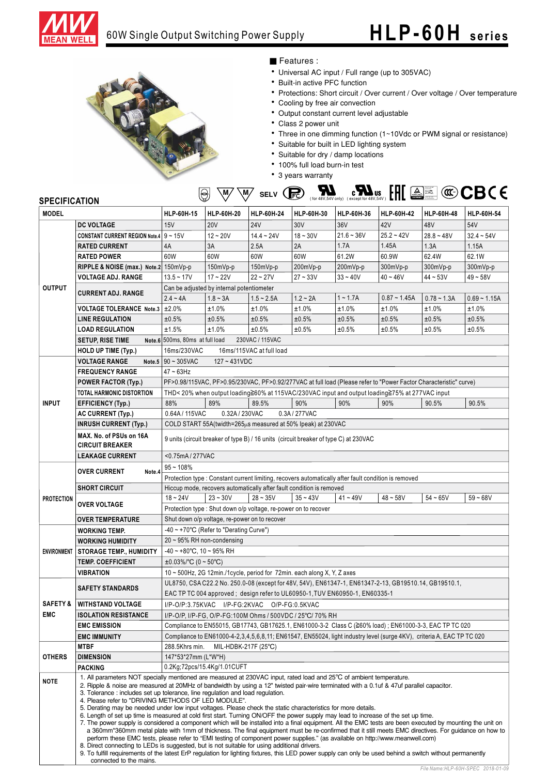

#### 60W Single Output Switching Power Supply

# **HLP-60H series**



#### ■ Features :

- Universal AC input / Full range (up to 305VAC)
- Built-in active PFC function
- Protections: Short circuit / Over current / Over voltage / Over temperature
- Cooling by free air convection
- Output constant current level adjustable
- Class 2 power unit
- Three in one dimming function (1~10Vdc or PWM signal or resistance)
- Suitable for built in LED lighting system
- Suitable for dry / damp locations
- 100% full load burn-in test
- 3 years warranty

### $\overline{\mathbb{W}}$   $\overline{\mathbb{W}}$  selv  $\overline{\mathbb{R}}$   $\overline{\mathbb{R}}$   $\overline{\mathbb{H}}$   $\overline{\mathbb{R}}$   $\overline{\mathbb{H}}$   $\overline{\mathbb{H}}$   $\overline{\mathbb{H}}$   $\overline{\mathbb{H}}$

| <b>MODEL</b>        |                                                                                                                                                                                                                                                                                                                                                                                                                                                                                                                                                                                                                                                                                                                                                                                                                                                                                                                                                                                                                                                                                               | HLP-60H-15                                                                                                                                                                   | HLP-60H-20                                                   | HLP-60H-24   | HLP-60H-30    | HLP-60H-36   | HLP-60H-42     | HLP-60H-48    | HLP-60H-54     |  |
|---------------------|-----------------------------------------------------------------------------------------------------------------------------------------------------------------------------------------------------------------------------------------------------------------------------------------------------------------------------------------------------------------------------------------------------------------------------------------------------------------------------------------------------------------------------------------------------------------------------------------------------------------------------------------------------------------------------------------------------------------------------------------------------------------------------------------------------------------------------------------------------------------------------------------------------------------------------------------------------------------------------------------------------------------------------------------------------------------------------------------------|------------------------------------------------------------------------------------------------------------------------------------------------------------------------------|--------------------------------------------------------------|--------------|---------------|--------------|----------------|---------------|----------------|--|
|                     | <b>DC VOLTAGE</b>                                                                                                                                                                                                                                                                                                                                                                                                                                                                                                                                                                                                                                                                                                                                                                                                                                                                                                                                                                                                                                                                             | 15V                                                                                                                                                                          | <b>20V</b>                                                   | <b>24V</b>   | 30V           | 36V          | 42V            | 48V           | 54V            |  |
| <b>OUTPUT</b>       | <b>CONSTANT CURRENT REGION Note.4</b> 9 ~ 15V                                                                                                                                                                                                                                                                                                                                                                                                                                                                                                                                                                                                                                                                                                                                                                                                                                                                                                                                                                                                                                                 |                                                                                                                                                                              | $12 - 20V$                                                   | $14.4 - 24V$ | $18 - 30V$    | $21.6 - 36V$ | $25.2 - 42V$   | $28.8 - 48V$  | $32.4 - 54V$   |  |
|                     | <b>RATED CURRENT</b>                                                                                                                                                                                                                                                                                                                                                                                                                                                                                                                                                                                                                                                                                                                                                                                                                                                                                                                                                                                                                                                                          | 4A                                                                                                                                                                           | 3A                                                           | 2.5A         | 2A            | 1.7A         | 1.45A          | 1.3A          | 1.15A          |  |
|                     | <b>RATED POWER</b>                                                                                                                                                                                                                                                                                                                                                                                                                                                                                                                                                                                                                                                                                                                                                                                                                                                                                                                                                                                                                                                                            | 60W                                                                                                                                                                          | 60W                                                          | 60W          | 60W           | 61.2W        | 60.9W          | 62.4W         | 62.1W          |  |
|                     | RIPPLE & NOISE (max.) Note.2 150mVp-p                                                                                                                                                                                                                                                                                                                                                                                                                                                                                                                                                                                                                                                                                                                                                                                                                                                                                                                                                                                                                                                         |                                                                                                                                                                              | 150mVp-p                                                     | 150mVp-p     | 200mVp-p      | 200mVp-p     | 300mVp-p       | 300mVp-p      | 300mVp-p       |  |
|                     | <b>VOLTAGE ADJ. RANGE</b>                                                                                                                                                                                                                                                                                                                                                                                                                                                                                                                                                                                                                                                                                                                                                                                                                                                                                                                                                                                                                                                                     | $13.5 - 17V$                                                                                                                                                                 | $17 - 22V$                                                   | $22 - 27V$   | $27 - 33V$    | $33 - 40V$   | $40 - 46V$     | $44 - 53V$    | $49 - 58V$     |  |
|                     | <b>CURRENT ADJ. RANGE</b>                                                                                                                                                                                                                                                                                                                                                                                                                                                                                                                                                                                                                                                                                                                                                                                                                                                                                                                                                                                                                                                                     | Can be adjusted by internal potentiometer                                                                                                                                    |                                                              |              |               |              |                |               |                |  |
|                     |                                                                                                                                                                                                                                                                                                                                                                                                                                                                                                                                                                                                                                                                                                                                                                                                                                                                                                                                                                                                                                                                                               | $2.4 - 4A$                                                                                                                                                                   | $1.8 - 3A$                                                   | $1.5 - 2.5A$ | $1.2 - 2A$    | $1 - 1.7A$   | $0.87 - 1.45A$ | $0.78 - 1.3A$ | $0.69 - 1.15A$ |  |
|                     | <b>VOLTAGE TOLERANCE Note.3</b>                                                                                                                                                                                                                                                                                                                                                                                                                                                                                                                                                                                                                                                                                                                                                                                                                                                                                                                                                                                                                                                               | ±2.0%                                                                                                                                                                        | ±1.0%                                                        | ±1.0%        | ±1.0%         | ±1.0%        | ±1.0%          | ±1.0%         | ±1.0%          |  |
|                     | <b>LINE REGULATION</b>                                                                                                                                                                                                                                                                                                                                                                                                                                                                                                                                                                                                                                                                                                                                                                                                                                                                                                                                                                                                                                                                        | ±0.5%                                                                                                                                                                        | ±0.5%                                                        | ±0.5%        | ±0.5%         | ±0.5%        | ±0.5%          | ±0.5%         | ±0.5%          |  |
|                     | <b>LOAD REGULATION</b>                                                                                                                                                                                                                                                                                                                                                                                                                                                                                                                                                                                                                                                                                                                                                                                                                                                                                                                                                                                                                                                                        | ±1.5%                                                                                                                                                                        | ±1.0%                                                        | ±0.5%        | ±0.5%         | ±0.5%        | ±0.5%          | ±0.5%         | ±0.5%          |  |
|                     | <b>SETUP, RISE TIME</b>                                                                                                                                                                                                                                                                                                                                                                                                                                                                                                                                                                                                                                                                                                                                                                                                                                                                                                                                                                                                                                                                       | Note.6 500ms, 80ms at full load<br>230VAC / 115VAC                                                                                                                           |                                                              |              |               |              |                |               |                |  |
|                     | HOLD UP TIME (Typ.)                                                                                                                                                                                                                                                                                                                                                                                                                                                                                                                                                                                                                                                                                                                                                                                                                                                                                                                                                                                                                                                                           | 16ms/230VAC<br>16ms/115VAC at full load                                                                                                                                      |                                                              |              |               |              |                |               |                |  |
|                     | <b>VOLTAGE RANGE</b>                                                                                                                                                                                                                                                                                                                                                                                                                                                                                                                                                                                                                                                                                                                                                                                                                                                                                                                                                                                                                                                                          | Note.5   $90 \sim 305$ VAC<br>$127 - 431VDC$                                                                                                                                 |                                                              |              |               |              |                |               |                |  |
| <b>INPUT</b>        | <b>FREQUENCY RANGE</b>                                                                                                                                                                                                                                                                                                                                                                                                                                                                                                                                                                                                                                                                                                                                                                                                                                                                                                                                                                                                                                                                        | $47 - 63$ Hz                                                                                                                                                                 |                                                              |              |               |              |                |               |                |  |
|                     | <b>POWER FACTOR (Typ.)</b>                                                                                                                                                                                                                                                                                                                                                                                                                                                                                                                                                                                                                                                                                                                                                                                                                                                                                                                                                                                                                                                                    | PF>0.98/115VAC, PF>0.95/230VAC, PF>0.92/277VAC at full load (Please refer to "Power Factor Characteristic" curve)                                                            |                                                              |              |               |              |                |               |                |  |
|                     | TOTAL HARMONIC DISTORTION                                                                                                                                                                                                                                                                                                                                                                                                                                                                                                                                                                                                                                                                                                                                                                                                                                                                                                                                                                                                                                                                     | THD< 20% when output loading≧60% at 115VAC/230VAC input and output loading≧75% at 277VAC input                                                                               |                                                              |              |               |              |                |               |                |  |
|                     | <b>EFFICIENCY (Typ.)</b>                                                                                                                                                                                                                                                                                                                                                                                                                                                                                                                                                                                                                                                                                                                                                                                                                                                                                                                                                                                                                                                                      | 88%                                                                                                                                                                          | 89%                                                          | 89.5%        | 90%           | 90%          | 90%            | 90.5%         | 90.5%          |  |
|                     | <b>AC CURRENT (Typ.)</b>                                                                                                                                                                                                                                                                                                                                                                                                                                                                                                                                                                                                                                                                                                                                                                                                                                                                                                                                                                                                                                                                      | 0.64A / 115VAC                                                                                                                                                               | 0.32A / 230VAC                                               |              | 0.3A / 277VAC |              |                |               |                |  |
|                     | <b>INRUSH CURRENT (Typ.)</b>                                                                                                                                                                                                                                                                                                                                                                                                                                                                                                                                                                                                                                                                                                                                                                                                                                                                                                                                                                                                                                                                  |                                                                                                                                                                              | COLD START 55A(twidth=265µs measured at 50% Ipeak) at 230VAC |              |               |              |                |               |                |  |
|                     | MAX. No. of PSUs on 16A                                                                                                                                                                                                                                                                                                                                                                                                                                                                                                                                                                                                                                                                                                                                                                                                                                                                                                                                                                                                                                                                       |                                                                                                                                                                              |                                                              |              |               |              |                |               |                |  |
|                     | <b>CIRCUIT BREAKER</b>                                                                                                                                                                                                                                                                                                                                                                                                                                                                                                                                                                                                                                                                                                                                                                                                                                                                                                                                                                                                                                                                        | 9 units (circuit breaker of type B) / 16 units (circuit breaker of type C) at 230VAC                                                                                         |                                                              |              |               |              |                |               |                |  |
|                     | <b>LEAKAGE CURRENT</b>                                                                                                                                                                                                                                                                                                                                                                                                                                                                                                                                                                                                                                                                                                                                                                                                                                                                                                                                                                                                                                                                        | <0.75mA/277VAC                                                                                                                                                               |                                                              |              |               |              |                |               |                |  |
|                     |                                                                                                                                                                                                                                                                                                                                                                                                                                                                                                                                                                                                                                                                                                                                                                                                                                                                                                                                                                                                                                                                                               | $95 - 108%$                                                                                                                                                                  |                                                              |              |               |              |                |               |                |  |
| <b>PROTECTION</b>   | <b>OVER CURRENT</b><br>Note.4                                                                                                                                                                                                                                                                                                                                                                                                                                                                                                                                                                                                                                                                                                                                                                                                                                                                                                                                                                                                                                                                 |                                                                                                                                                                              |                                                              |              |               |              |                |               |                |  |
|                     |                                                                                                                                                                                                                                                                                                                                                                                                                                                                                                                                                                                                                                                                                                                                                                                                                                                                                                                                                                                                                                                                                               | Protection type : Constant current limiting, recovers automatically after fault condition is removed<br>Hiccup mode, recovers automatically after fault condition is removed |                                                              |              |               |              |                |               |                |  |
|                     | <b>SHORT CIRCUIT</b>                                                                                                                                                                                                                                                                                                                                                                                                                                                                                                                                                                                                                                                                                                                                                                                                                                                                                                                                                                                                                                                                          | $35 - 43V$<br>$41 - 49V$<br>$48 - 58V$<br>$54 - 65V$<br>$59 - 68V$<br>$18 - 24V$<br>$23 - 30V$<br>$28 - 35V$                                                                 |                                                              |              |               |              |                |               |                |  |
|                     | <b>OVER VOLTAGE</b>                                                                                                                                                                                                                                                                                                                                                                                                                                                                                                                                                                                                                                                                                                                                                                                                                                                                                                                                                                                                                                                                           |                                                                                                                                                                              |                                                              |              |               |              |                |               |                |  |
|                     | <b>OVER TEMPERATURE</b>                                                                                                                                                                                                                                                                                                                                                                                                                                                                                                                                                                                                                                                                                                                                                                                                                                                                                                                                                                                                                                                                       | Protection type: Shut down o/p voltage, re-power on to recover<br>Shut down o/p voltage, re-power on to recover                                                              |                                                              |              |               |              |                |               |                |  |
|                     | <b>WORKING TEMP.</b>                                                                                                                                                                                                                                                                                                                                                                                                                                                                                                                                                                                                                                                                                                                                                                                                                                                                                                                                                                                                                                                                          | $-40 \sim +70^{\circ}$ C (Refer to "Derating Curve")                                                                                                                         |                                                              |              |               |              |                |               |                |  |
| <b>ENVIRONMENT</b>  | <b>WORKING HUMIDITY</b>                                                                                                                                                                                                                                                                                                                                                                                                                                                                                                                                                                                                                                                                                                                                                                                                                                                                                                                                                                                                                                                                       | $20 \sim 95\%$ RH non-condensing                                                                                                                                             |                                                              |              |               |              |                |               |                |  |
|                     |                                                                                                                                                                                                                                                                                                                                                                                                                                                                                                                                                                                                                                                                                                                                                                                                                                                                                                                                                                                                                                                                                               | $-40 \sim +80^{\circ}$ C, 10 ~ 95% RH                                                                                                                                        |                                                              |              |               |              |                |               |                |  |
|                     | <b>STORAGE TEMP., HUMIDITY</b><br><b>TEMP. COEFFICIENT</b>                                                                                                                                                                                                                                                                                                                                                                                                                                                                                                                                                                                                                                                                                                                                                                                                                                                                                                                                                                                                                                    |                                                                                                                                                                              |                                                              |              |               |              |                |               |                |  |
|                     |                                                                                                                                                                                                                                                                                                                                                                                                                                                                                                                                                                                                                                                                                                                                                                                                                                                                                                                                                                                                                                                                                               | $\pm 0.03\%$ /°C (0 ~ 50°C)<br>10 ~ 500Hz, 2G 12min./1cycle, period for 72min. each along X, Y, Z axes                                                                       |                                                              |              |               |              |                |               |                |  |
|                     | <b>VIBRATION</b>                                                                                                                                                                                                                                                                                                                                                                                                                                                                                                                                                                                                                                                                                                                                                                                                                                                                                                                                                                                                                                                                              | UL8750, CSA C22.2 No. 250.0-08 (except for 48V, 54V), EN61347-1, EN61347-2-13, GB19510.14, GB19510.1,                                                                        |                                                              |              |               |              |                |               |                |  |
|                     | <b>SAFETY STANDARDS</b>                                                                                                                                                                                                                                                                                                                                                                                                                                                                                                                                                                                                                                                                                                                                                                                                                                                                                                                                                                                                                                                                       |                                                                                                                                                                              |                                                              |              |               |              |                |               |                |  |
|                     |                                                                                                                                                                                                                                                                                                                                                                                                                                                                                                                                                                                                                                                                                                                                                                                                                                                                                                                                                                                                                                                                                               | EAC TP TC 004 approved; design refer to UL60950-1, TUV EN60950-1, EN60335-1                                                                                                  |                                                              |              |               |              |                |               |                |  |
| <b>SAFETY &amp;</b> | <b>WITHSTAND VOLTAGE</b>                                                                                                                                                                                                                                                                                                                                                                                                                                                                                                                                                                                                                                                                                                                                                                                                                                                                                                                                                                                                                                                                      | I/P-O/P:3.75KVAC I/P-FG:2KVAC O/P-FG:0.5KVAC                                                                                                                                 |                                                              |              |               |              |                |               |                |  |
| <b>EMC</b>          | <b>ISOLATION RESISTANCE</b>                                                                                                                                                                                                                                                                                                                                                                                                                                                                                                                                                                                                                                                                                                                                                                                                                                                                                                                                                                                                                                                                   | I/P-O/P, I/P-FG, O/P-FG:100M Ohms / 500VDC / 25°C/ 70% RH                                                                                                                    |                                                              |              |               |              |                |               |                |  |
|                     | <b>EMC EMISSION</b>                                                                                                                                                                                                                                                                                                                                                                                                                                                                                                                                                                                                                                                                                                                                                                                                                                                                                                                                                                                                                                                                           | Compliance to EN55015, GB17743, GB17625.1, EN61000-3-2 Class C (≧60% load) ; EN61000-3-3, EAC TP TC 020                                                                      |                                                              |              |               |              |                |               |                |  |
|                     | <b>EMC IMMUNITY</b><br><b>MTBF</b>                                                                                                                                                                                                                                                                                                                                                                                                                                                                                                                                                                                                                                                                                                                                                                                                                                                                                                                                                                                                                                                            | Compliance to EN61000-4-2,3,4,5,6,8,11; EN61547, EN55024, light industry level (surge 4KV), criteria A, EAC TP TC 020<br>288.5Khrs min.                                      |                                                              |              |               |              |                |               |                |  |
| <b>OTHERS</b>       |                                                                                                                                                                                                                                                                                                                                                                                                                                                                                                                                                                                                                                                                                                                                                                                                                                                                                                                                                                                                                                                                                               | MIL-HDBK-217F (25°C)<br>147*53*27mm (L*W*H)                                                                                                                                  |                                                              |              |               |              |                |               |                |  |
|                     | <b>DIMENSION</b><br><b>PACKING</b>                                                                                                                                                                                                                                                                                                                                                                                                                                                                                                                                                                                                                                                                                                                                                                                                                                                                                                                                                                                                                                                            | 0.2Kg;72pcs/15.4Kg/1.01CUFT                                                                                                                                                  |                                                              |              |               |              |                |               |                |  |
|                     |                                                                                                                                                                                                                                                                                                                                                                                                                                                                                                                                                                                                                                                                                                                                                                                                                                                                                                                                                                                                                                                                                               | 1. All parameters NOT specially mentioned are measured at 230VAC input, rated load and 25°C of ambient temperature.                                                          |                                                              |              |               |              |                |               |                |  |
| <b>NOTE</b>         | 2. Ripple & noise are measured at 20MHz of bandwidth by using a 12" twisted pair-wire terminated with a 0.1uf & 47uf parallel capacitor.<br>3. Tolerance: includes set up tolerance, line regulation and load regulation.<br>4. Please refer to "DRIVING METHODS OF LED MODULE".<br>5. Derating may be needed under low input voltages. Please check the static characteristics for more details.<br>6. Length of set up time is measured at cold first start. Turning ON/OFF the power supply may lead to increase of the set up time.<br>7. The power supply is considered a component which will be installed into a final equipment. All the EMC tests are been executed by mounting the unit on<br>a 360mm*360mm metal plate with 1mm of thickness. The final equipment must be re-confirmed that it still meets EMC directives. For quidance on how to<br>perform these EMC tests, please refer to "EMI testing of component power supplies." (as available on http://www.meanwell.com)<br>8. Direct connecting to LEDs is suggested, but is not suitable for using additional drivers. |                                                                                                                                                                              |                                                              |              |               |              |                |               |                |  |
|                     | connected to the mains.                                                                                                                                                                                                                                                                                                                                                                                                                                                                                                                                                                                                                                                                                                                                                                                                                                                                                                                                                                                                                                                                       | 9. To fulfill requirements of the latest ErP regulation for lighting fixtures, this LED power supply can only be used behind a switch without permanently                    |                                                              |              |               |              |                |               |                |  |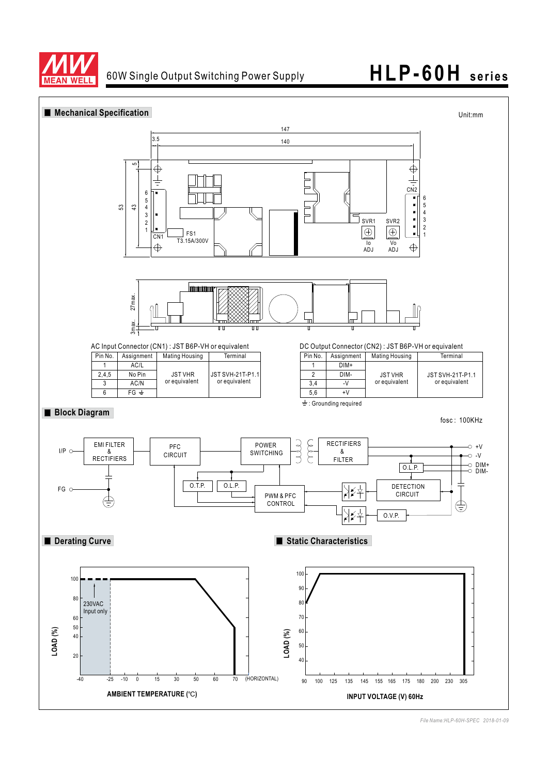

### 60W Single Output Switching Power Supply **HLP-60H series**

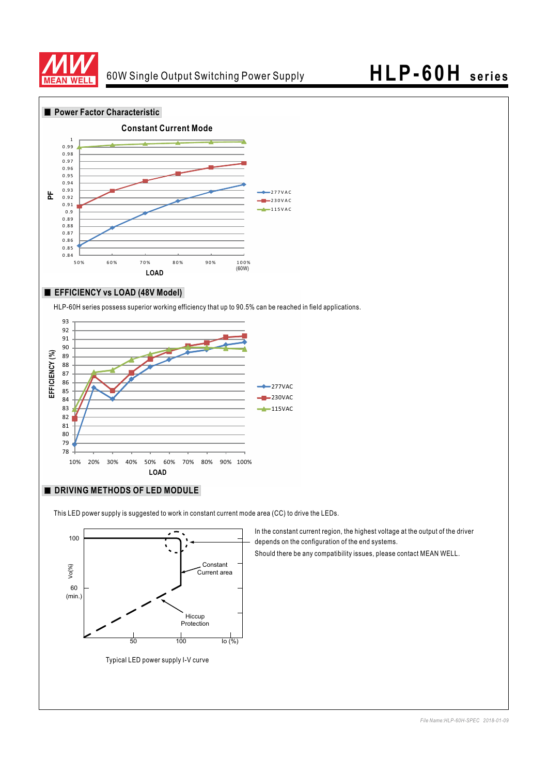

### 60W Single Output Switching Power Supply **HLP-60H series**



#### **EFFICIENCY vs LOAD (48V Model)**

HLP-60H series possess superior working efficiency that up to 90.5% can be reached in field applications.



#### **DRIVING METHODS OF LED MODULE**

This LED power supply is suggested to work in constant current mode area (CC) to drive the LEDs.



Typical LED power supply I-V curve

In the constant current region, the highest voltage at the output of the driver depends on the configuration of the end systems.

Should there be any compatibility issues, please contact MEAN WELL.